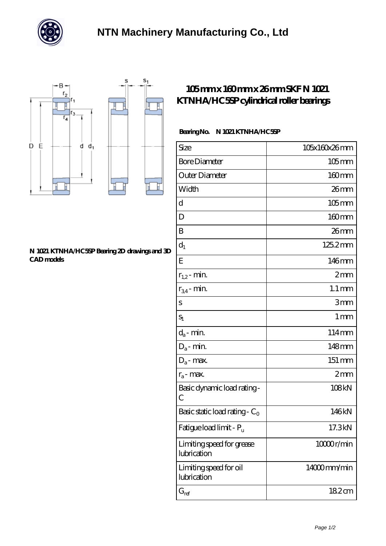



## **[N 1021 KTNHA/HC5SP Bearing 2D drawings and 3D](https://m.chatadresleri.com/pic-43417.html) [CAD models](https://m.chatadresleri.com/pic-43417.html)**

## **[105 mm x 160 mm x 26 mm SKF N 1021](https://m.chatadresleri.com/af-43417-skf-n-1021-ktnha-hc5sp-cylindrical-roller-bearings.html) [KTNHA/HC5SP cylindrical roller bearings](https://m.chatadresleri.com/af-43417-skf-n-1021-ktnha-hc5sp-cylindrical-roller-bearings.html)**

## **Bearing No. N 1021 KTNHA/HC5SP**

| Size                                         | 105x160x26mm        |
|----------------------------------------------|---------------------|
| <b>Bore Diameter</b>                         | $105$ mm            |
| Outer Diameter                               | $160 \text{mm}$     |
| Width                                        | 26mm                |
| d                                            | $105$ mm            |
| D                                            | 160mm               |
| B                                            | 26mm                |
| $\mathrm{d}_{1}$                             | 125.2mm             |
| Ε                                            | 146mm               |
| $r_{1,2}$ - min.                             | 2mm                 |
| $r_{34}$ - min.                              | $1.1 \,\mathrm{mm}$ |
| S                                            | 3mm                 |
| $S_1$                                        | 1 <sub>mm</sub>     |
| $d_a$ - min.                                 | 114mm               |
| $D_a$ - min.                                 | 148mm               |
| $D_a$ - max.                                 | 151 mm              |
| $r_a$ - max.                                 | 2mm                 |
| Basic dynamic load rating-<br>$\overline{C}$ | 108kN               |
| Basic static load rating - $C_0$             | 146kN               |
| Fatigue load limit - P <sub>u</sub>          | 17.3kN              |
| Limiting speed for grease<br>lubrication     | 10000r/min          |
| Limiting speed for oil<br>lubrication        | 14000mm/min         |
| $G_{\mathrm{ref}}$                           | 182cm               |